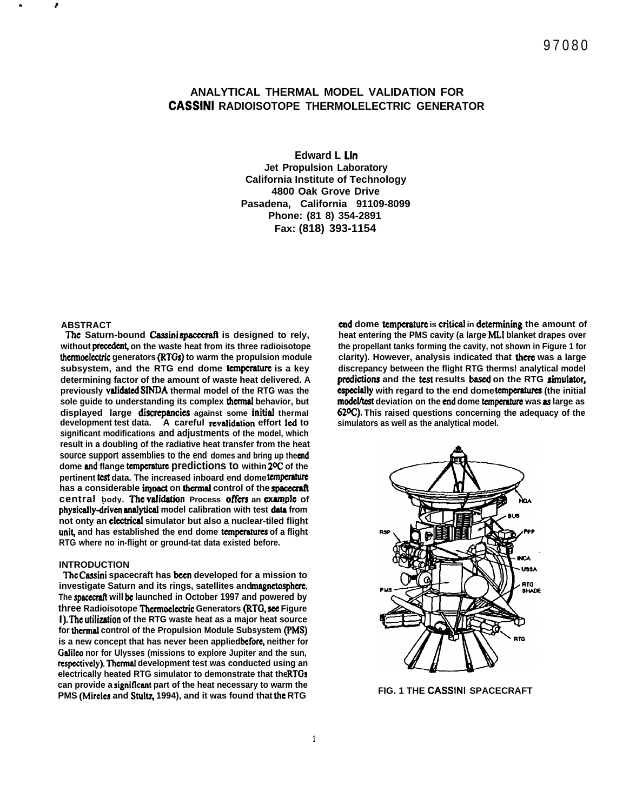# **ANALYTICAL THERMAL MODEL VALIDATION FOR CASSINI RADIOISOTOPE THERMOLELECTRIC GENERATOR**

**Edward L Lin Jet Propulsion Laboratory California Institute of Technology 4800 Oak Grove Drive Pasadena, California 91109-8099 Phone: (81 8) 354-2891 Fax: (818) 393-1154**

## **ABSTRACT**

. **r**

The Saturn-bound Cassini spacecraft is designed to rely, without precedent, on the waste heat from its three radioisotope thermoelectric generators (RTGs) to warm the propulsion module **subsystem, and the RTG end dome tcmpcmture is a key determining factor of the amount of waste heat delivered. A previously vatidatcd SINDA thermal model of the RTG was the sole guide to understanding its complex thcrmat behavior, but displayed large discrcpmcics against some initist thermal** development test data. A careful revalidation effort led to **significant modifications and adjustments of the model, which result in a doubling of the radiative heat transfer from the heat** source support assemblies to the end domes and bring up the cnd **dome md flange tcmpcraturc predictions to within 2W of the** pertinent test data. The increased inboard end dome temperature has a considerable impact on thermal control of the spacecraft **central** body. The validation Process offers an example of physically-driven analytical model calibration with test data from **not onty an elcctricat simulator but also a nuclear-tiled flight** unit, and has established the end dome temperatures of a flight **RTG where no in-flight or ground-tat data existed before.**

## **INTRODUCTION**

**The Cassini spacecraft has ken developed for a mission to** investigate Saturn and its rings, satellites and magnetosphere. **The spacwraft will be launched in October 1997 and powered by three Radioisotope Thcrmoclcctric Generators (RTG, see Figure 1). The utilization of the RTG waste heat as a major heat source for thcrmst control of the Propulsion Module Subsystem (FMS)** is a new concept that has never been applied before, neither for **Gatilco nor for Ulysses (missions to explore Jupiter and the sun, rcspcctivcly). Thcrmat development test was conducted using an electrically heated RTG simulator to demonstrate that the RTGs** can provide a significant part of the heat necessary to warm the PMS (Mircles and Stultz, 1994), and it was found that the RTG

**end dome tcmpcmturc is cnticat in dctcrminiig the amount of** heat entering the PMS cavity (a large MLI blanket drapes over **the propellant tanks forming the cavity, not shown in Figure 1 for clarity). However, analysis indicated that there was a large discrepancy between the flight RTG therms! analytical model** predictions and the test results based on the RTG simulator, **cspecially** with regard to the end dome temperatures (the initial model/test deviation on the end dome temperature was as large as **62W). This raised questions concerning the adequacy of the simulators as well as the analytical model.**



**FIG. 1 THE CASSINI SPACECRAFT**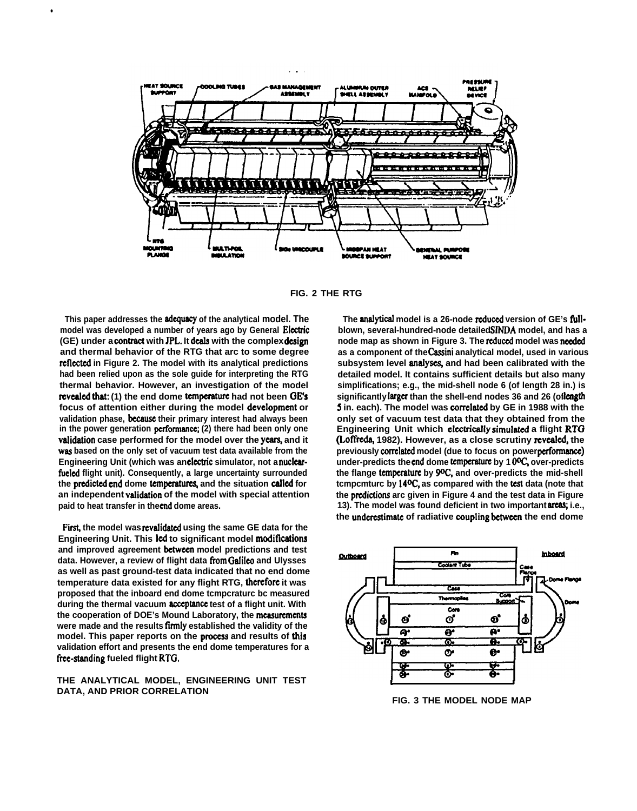

**FIG. 2 THE RTG**

**This paper addresses the adquacy of the analytical model. The** model was developed a number of years ago by General Electric **(GE) under a ccmtract with JFL. It deals with the complex design and thermal behavior of the RTG that arc to some degree rcflcctcd in Figure 2. The model with its analytical predictions had been relied upon as the sole guide for interpreting the RTG thermal behavior. However, an investigation of the model revealed that:** (1) the end dome temperature had not been GE's **focus of attention either during the model dcvclopmcnt or validation phase, bccausc their primary interest had always been** in the power generation performance; (2) there had been only one<br>validation case performed for the model over the years, and it **was based on the only set of vacuum test data available from the** Engineering Unit (which was an electric simulator, not a nuclearfueled flight unit). Consequently, a large uncertainty surrounded the predicted end dome temperatures, and the situation called for an independent validation of the model with special attention **paid to heat transfer in the cnd dome areas.**

●

First, the model was revalidated using the same GE data for the **Engineering Unit. This led to significant model modifkations and improved agreement bctwccn model predictions and test data. However, a review of flight data fiwm Galileo and Ulysses as well as past ground-test data indicated that no end dome temperature data existed for any flight RTG, thcrcforc it was proposed that the inboard end dome tcmpcraturc bc measured** during the thermal vacuum acceptance test of a flight unit. With **the cooperation of DOE's Mound Laboratory, the mcasurcmcnts were made and the results firmly established the validity of the** model. This paper reports on the process and results of this **validation effort and presents the end dome temperatures for a** free-standing fueled flight RTG.

**THE ANALYTICAL MODEL, ENGINEERING UNIT TEST DATA, AND PRIOR CORRELATION**

The **analytical** model is a 26-node reduced version of GE's full**blown, several-hundred-node detailed SfNDA model, and has a** node map as shown in Figure 3. The reduced model was needed **as a component of the Cassini analytical model, used in various** subsystem level analyses, and had been calibrated with the **detailed model. It contains sufficient details but also many simplifications; e.g., the mid-shell node 6 (of length 28 in.) is** significantly larger than the shell-end nodes 36 and 26 (oflength **5** in. each). The model was correlated by GE in 1988 with the **only set of vacuum test data that they obtained from the Engineering Unit which elcctricatly simulatd a flight RTO (Loffreda, 1982). However, as a close scrutiny revealed, the previously czwrclatcd model (due to focus on power pcrformancc) under-predicts the cnd dome tcmpcmturc by 1 WC, over-predicts the flange tcrnpcraturc by WC!, and over-predicts the mid-shell** tcmpcmturc by 14<sup>o</sup>C, as compared with the test data (note that the predictions arc given in Figure 4 and the test data in Figure **13). The model was found deficient in two important area% i.e., the undcrcstimatc of radiative caupling bctwccn the end dome**



**FIG. 3 THE MODEL NODE MAP**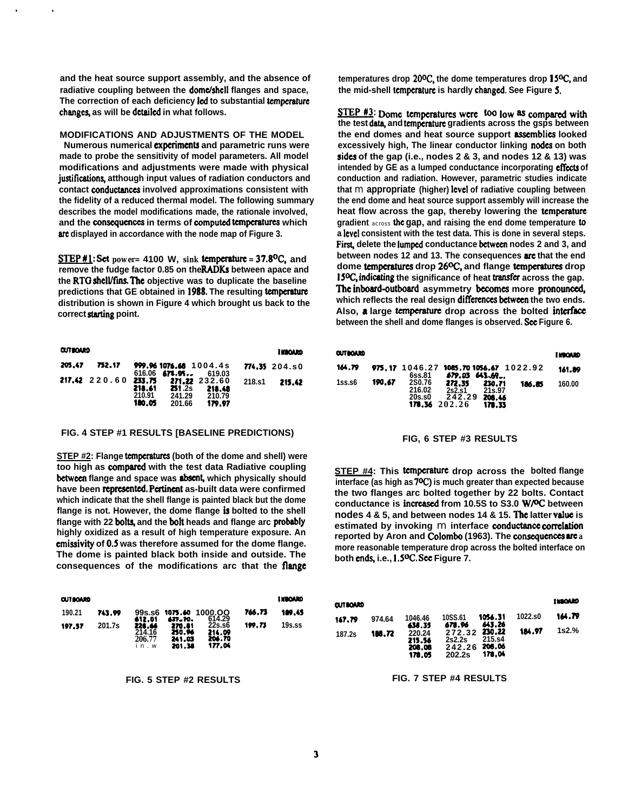**and the heat source support assembly, and the absence of** radiative coupling between the **dome/shell** flanges and space, **The correction of each deficiency Icd to substantial tcmpcraturc change% as will be dctsilcd in what follows.**

**MODIFICATIONS AND ADJUSTMENTS OF THE MODEL**

**Numerous numerical cxpcrimcnta and parametric runs were made to probe the sensitivity of model parameters. All model modifications and adjustments were made with physical justifications, atthough input values of radiation conductors and contact ccmductanccs involved approximations consistent with the fidelity of a reduced thermal model. The following summary describes the model modifications made, the rationale involved,** and the consequences in terms of computed temperatures which **we displayed in accordance with the node map of Figure 3.**

**STEP** #1: Set  $power = 4100$  W,  $sink$  temperature = 37.8<sup>o</sup>C, and **remove the fudge factor 0.85 on the RADKs between apace and** the RTG shell/fins. The objective was to duplicate the baseline **predictions that GE obtained in ]988. The resulting tcmpcratum distribution is shown in Figure 4 which brought us back to the** correct starting point.

| <b>CUTROARD</b> |               |                                      |                                           |                                             |        | <b>I KOOARD</b> |
|-----------------|---------------|--------------------------------------|-------------------------------------------|---------------------------------------------|--------|-----------------|
| 205.47          | 752.17        |                                      | 999.961076.68 1004.4s<br>$616.06$ 671.95. | 619.03                                      |        | 774.35 204.50   |
|                 | 217.42 220.60 | 233.75<br>218.61<br>210.91<br>180.05 | <b>251.2s</b><br>241.29<br>201.66         | 271.22 232.60<br>218.48<br>210.79<br>179.97 | 218.s1 | 215.42          |

## **FIG. 4 STEP #1 RESULTS [BASELINE PREDICTIONS)**

**STEP #2: Flange temperatures (both of the dome and shell) were too high as @mparcd with the test data Radiative coupling between flange and space was absent, which physically should** have been represented. Pertinent as-built data were confirmed **which indicate that the shell flange is painted black but the dome flange is not. However, the dome flange is bolted to the shell** flange with 22 bolts, and the bolt heads and flange arc probably **highly oxidized as a result of high temperature exposure. An cmissivity of 0.5 was therefore assumed for the dome flange. The dome is painted black both inside and outside. The consequences of the modifications arc that the flmge**

| <b>OUTBOARD</b> |        |                                    |                                      |                                      |        | <b>I MBOARD</b> |
|-----------------|--------|------------------------------------|--------------------------------------|--------------------------------------|--------|-----------------|
| 190.21          | 743.99 | 612.01                             | 427. TO.                             | 99s.s6 1075.40 1000.OO<br>614.29     | 766.73 | 189.45          |
| 197.57          | 201.7s | 228.46<br>214.16<br>206.77<br>in.w | 270.81<br>250.96<br>241.03<br>201.38 | 22s.s6<br>214.09<br>206.70<br>177.04 | 199.73 | 19s.ss          |

**FIG. 5 STEP #2 RESULTS**

temperatures drop 20<sup>o</sup>C, the dome temperatures drop 15<sup>o</sup>C, and **the mid-shell tcmpcrsturc is hardly chsngcd. See Figure S.**

STEP #3: Dome temperatures were <sup>too</sup> low as compared with the test data, and temperature gradients across the gsps between **the end domes and heat source support aswmblics looked excessively high, The linear conductor linking nodes on both sides of the gap (i.e., nodes 2 & 3, and nodes 12 & 13) was** intended by GE as a lumped conductance incorporating effects of **conduction and radiation. However, parametric studies indicate that** m **appropriate (higher) level of radiative coupling between the end dome and heat source support assembly will increase the heat flow across the gap, thereby lowering the tcmpcraturc gradient** across the **gap, and raising the end dome temperature to a Icvcl consistent with the test data. This is done in several steps.** First, delete the lumped conductance between nodes 2 and 3, and **between nodes 12 and 13. The consequences arc that the end** dome temperatures drop 26<sup>o</sup>C, and flange temperatures drop **15<sup>o</sup>C, indicating the significance of heat transfer across the gap.** The inboard-outboard asymmetry becomes more pronounced, which reflects the real design differences between the two ends. Also, a large temperature drop across the bolted interface **between the shell and dome flanges is observed. Scc Figure 6.**

| <b>OUTBOARD</b> |        |                                                 |                                      |                                      |        | <b>I MOARD</b> |
|-----------------|--------|-------------------------------------------------|--------------------------------------|--------------------------------------|--------|----------------|
| 164.79          |        | 975.17 1046.27 1085.701056.67 1022.92<br>6ss.81 | 679.DS                               | <b>641.69</b>                        |        | 161.89         |
| $1$ ss.s $6$    | 190.67 | <b>2S0.76</b><br>216.02<br>20s.s0<br>178.36     | 272.35<br>2s2.s1<br>242.29<br>202.26 | 230.71<br>21s.97<br>208.46<br>178.33 | 186.85 | 160.00         |

#### **FIG, 6 STEP #3 RESULTS**

**STEP #4: This tcrnpcmturc drop across the bolted flange interface (as high as 70C.) is much greater than expected because the two flanges arc bolted together by 22 bolts. Contact conductance is incrcascd from 10.5S to S3.0 WPC. between nodes 4 & 5, and between nodes 14 & 15. The latter value is estimated by invoking m interface conductance correlation reported by Aron and Colombo (1963). The ccmscqucnccs ars** *a* **more reasonable temperature drop across the bolted interface on** both ends, i.e., 1.5<sup>o</sup>C. See Figure 7.

| <b>CUTBOARD</b> |        |                                      |                                                    |                   |         | <b>INBOARD</b> |
|-----------------|--------|--------------------------------------|----------------------------------------------------|-------------------|---------|----------------|
| 167.79          | 974.64 | 1046.46<br>638.35                    | 10SS.61<br>678.96                                  | 1056.31<br>643.26 | 1022.s0 | 164.79         |
| 187.2s          | 188.72 | 220.24<br>215.56<br>208.06<br>178.05 | 272.32 230.22<br>2s2.2s<br>242.26 205.06<br>202.2s | 215.s4<br>178.04  | 184.97  | $1s2.\%$       |

**FIG. 7 STEP #4 RESULTS**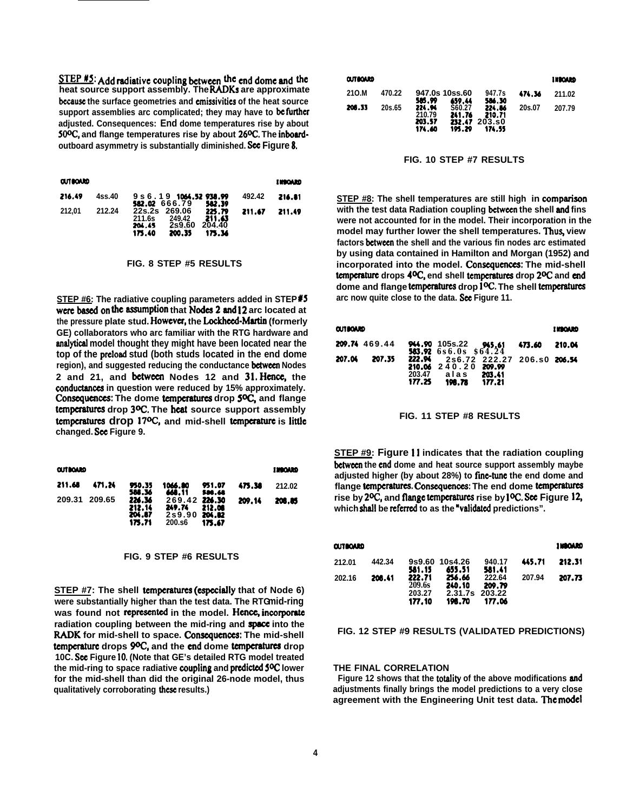$\frac{STEP \#5}{STE}$ : Add radiative coupling between the end dome and the heat source support assembly. The RADKs are approximate because the surface geometries and emissivities of the heat source support assemblies arc complicated; they may have to befurther adjusted. Consequences: End dome temperatures rise by about 50ºC, and flange temperatures rise by about 26°C. The inboardoutboard asymmetry is substantially diminished. See Figure 8.

| <b>OUTBOARD</b> |        |                         |                                |                  |        | <b>INBOARD</b> |
|-----------------|--------|-------------------------|--------------------------------|------------------|--------|----------------|
| 216.49          | 4ss.40 | 582.02 666.79           | 9 s 6 . 1 9 1064 . 52 938 . 99 | 582.39           | 492.42 | 216.81         |
| 212.01          | 212.24 | 22s.2s 269.06<br>211.6s | 249.42                         | 225.79<br>211.63 | 211.67 | 211.49         |
|                 |        | 204.45<br>175.40        | 2s9.60<br>200.35               | 204.40<br>175.36 |        |                |

#### FIG. 8 STEP #5 RESULTS

STEP #6: The radiative coupling parameters added in STEP#5 were based on the assumption that Nodes 2 and 12 arc located at the pressure plate stud. However, the Lockheed-Martin (formerly GE) collaborators who arc familiar with the RTG hardware and analytical model thought they might have been located near the top of the preload stud (both studs located in the end dome region), and suggested reducing the conductance between Nodes 2 and 21, and between Nodes 12 and 31. Hence, the conductances in question were reduced by 15% approximately. Consequences: The dome temperatures drop 5ºC, and flange temperatures drop 3ºC. The heat source support assembly temperatures drop 17<sup>o</sup>C, and mid-shell temperature is little changed. See Figure 9.

| <b>CUTIONAD</b> |        |                                      |                                                    |                  |        | 1200020 |
|-----------------|--------|--------------------------------------|----------------------------------------------------|------------------|--------|---------|
| 211.68          | 471.24 | 950.35<br>588.36                     | 1066.80<br>448.11                                  | 951.07<br>586.68 | 475.38 | 212.02  |
| 209.31          | 209.65 | 226.36<br>212.14<br>204.87<br>175.71 | 269.42 224.30<br>249.74<br>2s9.90 204.82<br>200.s6 | 212.08<br>175.67 | 209.14 | 208.85  |

### FIG. 9 STEP #6 RESULTS

STEP #7: The shell temperatures (especially that of Node 6) were substantially higher than the test data. The RTGmid-ring was found not represented in the model. Hence, incorporate radiation coupling between the mid-ring and space into the RADK for mid-shell to space. Consequences: The mid-shell temperature drops 9ºC, and the end dome temperatures drop 10C. See Figure 10. (Note that GE's detailed RTG model treated the mid-ring to space radiative coupling and predicted 5<sup>o</sup>C lower for the mid-shell than did the original 26-node model, thus qualitatively corroborating these results.)

| <b>CUTIONAD</b> |        |                                      |                                      |                                      |        | <b>INBOARD</b> |
|-----------------|--------|--------------------------------------|--------------------------------------|--------------------------------------|--------|----------------|
| 210.M           | 470.22 | 585.99                               | 947.0s 10ss.60<br>659.44             | 947.7s<br>586.30                     | 474.36 | 211.02         |
| 208.33          | 20s.65 | 224.PL<br>210.79<br>203.57<br>174.60 | S60.27<br>241.76<br>232.47<br>195.29 | 224.86<br>210.71<br>203.SO<br>174.55 | 20s.07 | 207.79         |

#### FIG. 10 STEP #7 RESULTS

STEP #8: The shell temperatures are still high in comparison with the test data Radiation coupling between the shell and fins were not accounted for in the model. Their incorporation in the model may further lower the shell temperatures. Thus, view factors between the shell and the various fin nodes arc estimated by using data contained in Hamilton and Morgan (1952) and incorporated into the model. Consequences: The mid-shell temperature drops 4<sup>o</sup>C, end shell temperatures drop 2<sup>o</sup>C and end dome and flange temperatures drop 1<sup>o</sup>C. The shell temperatures arc now quite close to the data. See Figure 11.

| <b>CUTBOARD</b> |               |                  |                                                                              |                  |        | <b>I EBOARD</b> |
|-----------------|---------------|------------------|------------------------------------------------------------------------------|------------------|--------|-----------------|
|                 | 209.74 469.44 |                  | 944.90 105s.22 945.61<br><b>583.92</b> 6s6.0s \$64.24                        |                  | 473.60 | 210.04          |
| 207.04          | 207.35        | 203.47<br>177.25 | 222.94 2s6.72 222.27 206.s0 206.54<br>210.06 240.20 209.99<br>alas<br>198.78 | 203.41<br>177.21 |        |                 |



STEP #9: Figure 11 indicates that the radiation coupling between the end dome and heat source support assembly maybe adjusted higher (by about 28%) to fine-tune the end dome and flange temperatures. Consequences: The end dome temperatures rise by 2<sup>o</sup>C, and flange temperatures rise by 1<sup>o</sup>C. See Figure 12, which shall be referred to as the "validated predictions".

| <b>OUTBOARD</b> |        |                  |                  |                  |        | 1100000 |
|-----------------|--------|------------------|------------------|------------------|--------|---------|
| 212.01          | 442.34 |                  | 9s9.60 10s4.26   | 940.17           | 445.71 | 212.31  |
| 202.16          | 208.41 | 581.15<br>222.71 | 655.51<br>256.66 | 581.41<br>222.64 | 207.94 | 207.73  |
|                 |        | 209.6s           | 240.10           | 209.79           |        |         |
|                 |        | 203.27           | 2.31.7s          | 203.22           |        |         |
|                 |        | 177.10           | 196.70           | 177.06           |        |         |

## FIG. 12 STEP #9 RESULTS (VALIDATED PREDICTIONS)

#### THE FINAL CORRELATION

Figure 12 shows that the totality of the above modifications and adjustments finally brings the model predictions to a very close agreement with the Engineering Unit test data. The model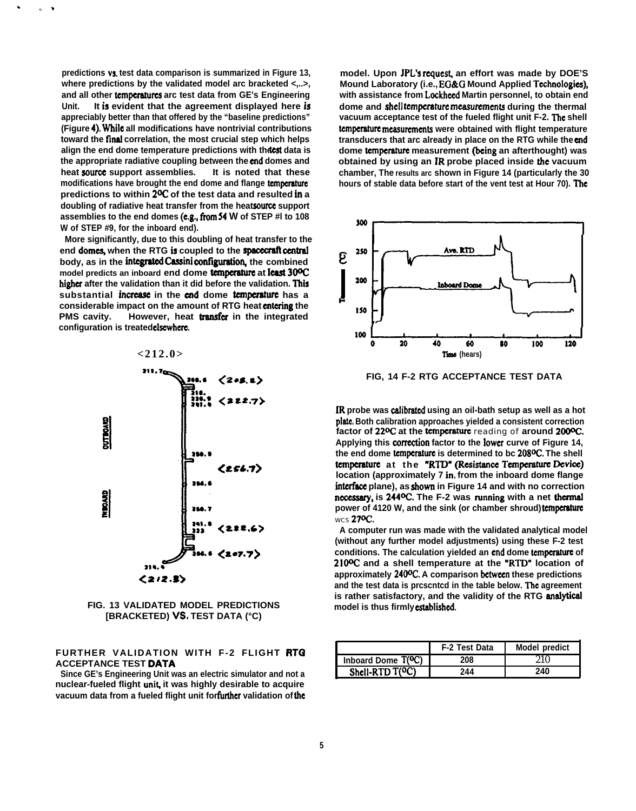**predictions vs. test data comparison is summarized in Figure 13, where predictions by the validated model arc bracketed <,..>, and all other tcmpcraturcs arc test data from GE's Engineering Unit. It is evident that the agreement displayed here is appreciably better than that offered by the "baseline predictions" (Figure 4), while all modifications have nontrivial contributions** toward the final correlation, the most crucial step which helps align the end dome temperature predictions with thetest data is **the appropriate radiative coupling between the cnd domes and heat sourcx support assemblies. It is noted that these modifications have brought the end dome and flange tcmpcmturc predictions to within 20C of the test data and resulted in a** doubling of radiative heat transfer from the heat source support **assemblies to the end domes (e.g., !hm 54 W of STEP #l to 108 W of STEP #9, for the inboard end).**

.

!. \*

**More significantly, due to this doubling of heat transfer to the** end domes, when the RTG is coupled to the spacecraft central **body**, as in the integrated Cassini configuration, the combined **model predicts an inboard end dome tcmpcmture at least 3(PC** higher after the validation than it did before the validation. This **substantial incrcasc in the end dome tcmpaaturc has a** considerable impact on the amount of RTG heat entering the **PMS cavity.** However, heat **transfer** in the integrated **configuration is treated elscwhcrc.**



**FIG. 13 VALIDATED MODEL PREDICTIONS [BRACKETED) VS. TEST DATA (°C)**

## **FURTHER VALIDATION WITH F-2 FLIGHT RTQ ACCEPTANCE TEST DATA**

**Since GE's Engineering Unit was an electric simulator and not a nuclear-fueled flight unik it was highly desirable to acquire** vacuum data from a fueled flight unit for further validation of the

model. Upon JPL's request, an effort was made by DOE'S **Mound Laboratory (i.e., EG&G Mound Applied Tcchnologics), with assistance from Lockhccd Martin personnel, to obtain end dome and shell tcmpcraturc mcasurcmcnts during the thermal** vacuum acceptance test of the fueled flight unit F-2. The shell **tcmpcraturc mcasurcmcnts were obtained with flight temperature transducers that arc already in place on the RTG while the cmd dome tcmpcraturc measurement (behg an afterthought) was obtained by using an JR probe placed inside the vacuum chamber, The results arc shown in Figure 14 (particularly the 30** hours of stable data before start of the vent test at Hour 70). The



**FIG, 14 F-2 RTG ACCEPTANCE TEST DATA**

**IR probe was cdibratcd using an oil-bath setup as well as a hot pk.. Both calibration approaches yielded a consistent correction factor of 220C at the tcrnpcraturc** reading of **around 2000C. Applying this cmrcction factor to the Iowcr curve of Figure 14, the end dome tcmpcmturc is determined to bc 2080C. The shell temperature** at the "RTD" (Resistance Temperature Device) **location (approximately 7 in. from the inboard dome flange intcrfkce plane), as shown in Figure 14 and with no correction** necessary, is 244<sup>o</sup>C. The F-2 was running with a net thermal **power of 4120 W, and the sink (or chamber shroud) tcmpcratwc** WCS **270C.**

**A computer run was made with the validated analytical model (without any further model adjustments) using these F-2 test** conditions. The calculation yielded an end dome temperature of **2100C and a shell temperature at the "RTIY location of approximately 2400C. A comparison bctwccn these predictions** and the test data is proscntod in the table below. The agreement **is rather satisfactory, and the validity of the RTG malytical model is thus firmly cstsblishcd.**

|                                 | F-2 Test Data | <b>Model predict</b> |
|---------------------------------|---------------|----------------------|
| Inboard Dome T( <sup>O</sup> C) | 208           |                      |
| Shell-RTD T(OC)                 | 244           | 240                  |